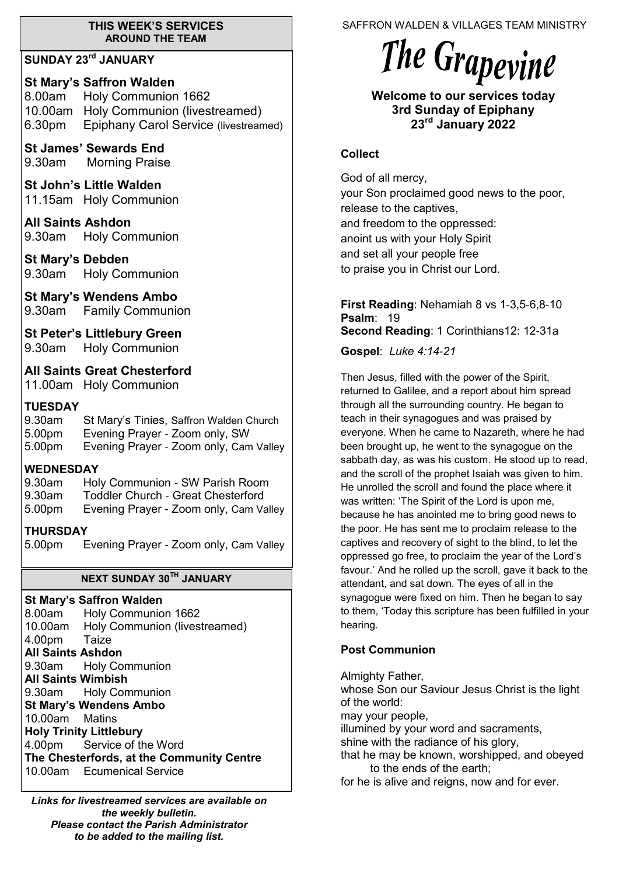#### **THIS WEEK'S SERVICES AROUND THE TEAM**

## **SUNDAY 23rd JANUARY**

**St Mary's Saffron Walden**  8.00am Holy Communion 1662 10.00am Holy Communion (livestreamed) 6.30pm Epiphany Carol Service (livestreamed)

**St James' Sewards End**  9.30am Morning Praise

**St John's Little Walden**  11.15am Holy Communion

**All Saints Ashdon**  9.30am Holy Communion

**St Mary's Debden** 9.30am Holy Communion

**St Mary's Wendens Ambo** 9.30am Family Communion

**St Peter's Littlebury Green**

9.30am Holy Communion

**All Saints Great Chesterford** 11.00am Holy Communion

## **TUESDAY**

9.30am St Mary's Tinies, Saffron Walden Church 5.00pm Evening Prayer - Zoom only, SW 5.00pm Evening Prayer - Zoom only, Cam Valley

## **WEDNESDAY**

- 9.30am Holy Communion SW Parish Room
- 9.30am Toddler Church Great Chesterford
- 5.00pm Evening Prayer Zoom only, Cam Valley

## **THURSDAY**

5.00pm Evening Prayer - Zoom only, Cam Valley

## **NEXT SUNDAY 30TH JANUARY**

**St Mary's Saffron Walden**  8.00am Holy Communion 1662 10.00am Holy Communion (livestreamed) 4.00pm Taize **All Saints Ashdon**  9.30am Holy Communion **All Saints Wimbish** 9.30am Holy Communion **St Mary's Wendens Ambo** 10.00am Matins **Holy Trinity Littlebury** 4.00pm Service of the Word **The Chesterfords, at the Community Centre** 10.00am Ecumenical Service

*Links for livestreamed services are available on the weekly bulletin. Please contact the Parish Administrator to be added to the mailing list.*

SAFFRON WALDEN & VILLAGES TEAM MINISTRY

# The Grapevine

**Welcome to our services today 3rd Sunday of Epiphany 23rd January 2022**

#### **Collect**

God of all mercy, your Son proclaimed good news to the poor, release to the captives, and freedom to the oppressed: anoint us with your Holy Spirit and set all your people free to praise you in Christ our Lord.

**First Reading**: Nehamiah 8 vs 1-3,5-6,8-10 **Psalm**: 19 **Second Reading**: 1 Corinthians12: 12-31a

**Gospel**: *Luke 4:14-21*

Then Jesus, filled with the power of the Spirit, returned to Galilee, and a report about him spread through all the surrounding country. He began to teach in their synagogues and was praised by everyone. When he came to Nazareth, where he had been brought up, he went to the synagogue on the sabbath day, as was his custom. He stood up to read, and the scroll of the prophet Isaiah was given to him. He unrolled the scroll and found the place where it was written: 'The Spirit of the Lord is upon me, because he has anointed me to bring good news to the poor. He has sent me to proclaim release to the captives and recovery of sight to the blind, to let the oppressed go free, to proclaim the year of the Lord's favour.' And he rolled up the scroll, gave it back to the attendant, and sat down. The eyes of all in the synagogue were fixed on him. Then he began to say to them, 'Today this scripture has been fulfilled in your hearing.

## **Post Communion**

Almighty Father, whose Son our Saviour Jesus Christ is the light of the world: may your people, illumined by your word and sacraments, shine with the radiance of his glory, that he may be known, worshipped, and obeyed to the ends of the earth;

for he is alive and reigns, now and for ever.